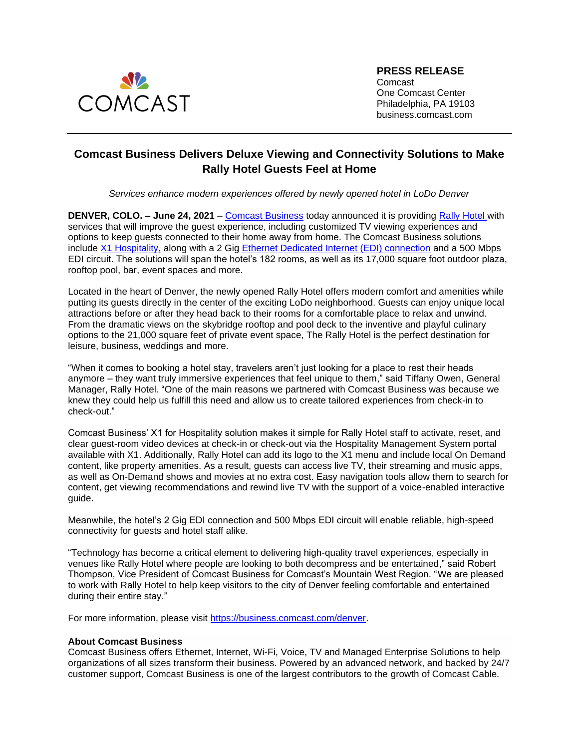

**PRESS RELEASE** Comcast One Comcast Center Philadelphia, PA 19103 business.comcast.com

## **Comcast Business Delivers Deluxe Viewing and Connectivity Solutions to Make Rally Hotel Guests Feel at Home**

*Services enhance modern experiences offered by newly opened hotel in LoDo Denver* 

**DENVER, COLO. – June 24, 2021** [–](https://business.comcast.com/) Comcast [Business](https://business.comcast.com/learn/phone/voiceedge-virtual-pbx) today announced it is providing [Rally Hotel](https://www.therallyhotel.com/) with services that will improve the guest experience, including customized TV viewing experiences and options to keep guests connected to their home away from home. The Comcast Business solutions include [X1 Hospitality,](https://business.comcast.com/enterprise/products-services/business-tv-solutions/x1-hospitality) along with a 2 Gig [Ethernet Dedicated Internet \(EDI\) connection](https://business.comcast.com/enterprise/products-services/data-networking/ethernet-dedicated-internet) and a 500 Mbps EDI circuit. The solutions will span the hotel's 182 rooms, as well as its 17,000 square foot outdoor plaza, rooftop pool, bar, event spaces and more.

Located in the heart of Denver, the newly opened Rally Hotel offers modern comfort and amenities while putting its guests directly in the center of the exciting LoDo neighborhood. Guests can enjoy unique local attractions before or after they head back to their rooms for a comfortable place to relax and unwind. From the dramatic views on the skybridge rooftop and pool deck to the inventive and playful culinary options to the 21,000 square feet of private event space, The Rally Hotel is the perfect destination for leisure, business, weddings and more.

"When it comes to booking a hotel stay, travelers aren't just looking for a place to rest their heads anymore – they want truly immersive experiences that feel unique to them," said Tiffany Owen, General Manager, Rally Hotel. "One of the main reasons we partnered with Comcast Business was because we knew they could help us fulfill this need and allow us to create tailored experiences from check-in to check-out."

Comcast Business' X1 for Hospitality solution makes it simple for Rally Hotel staff to activate, reset, and clear guest-room video devices at check-in or check-out via the Hospitality Management System portal available with X1. Additionally, Rally Hotel can add its logo to the X1 menu and include local On Demand content, like property amenities. As a result, guests can access live TV, their streaming and music apps, as well as On-Demand shows and movies at no extra cost. Easy navigation tools allow them to search for content, get viewing recommendations and rewind live TV with the support of a voice-enabled interactive guide.

Meanwhile, the hotel's 2 Gig EDI connection and 500 Mbps EDI circuit will enable reliable, high-speed connectivity for guests and hotel staff alike.

"Technology has become a critical element to delivering high-quality travel experiences, especially in venues like Rally Hotel where people are looking to both decompress and be entertained," said Robert Thompson, Vice President of Comcast Business for Comcast's Mountain West Region. "We are pleased to work with Rally Hotel to help keep visitors to the city of Denver feeling comfortable and entertained during their entire stay."

For more information, please visit [https://business.comcast.com/denver.](https://business.comcast.com/denver)

## **About Comcast Business**

Comcast Business offers Ethernet, Internet, Wi-Fi, Voice, TV and Managed Enterprise Solutions to help organizations of all sizes transform their business. Powered by an advanced network, and backed by 24/7 customer support, Comcast Business is one of the largest contributors to the growth of Comcast Cable.